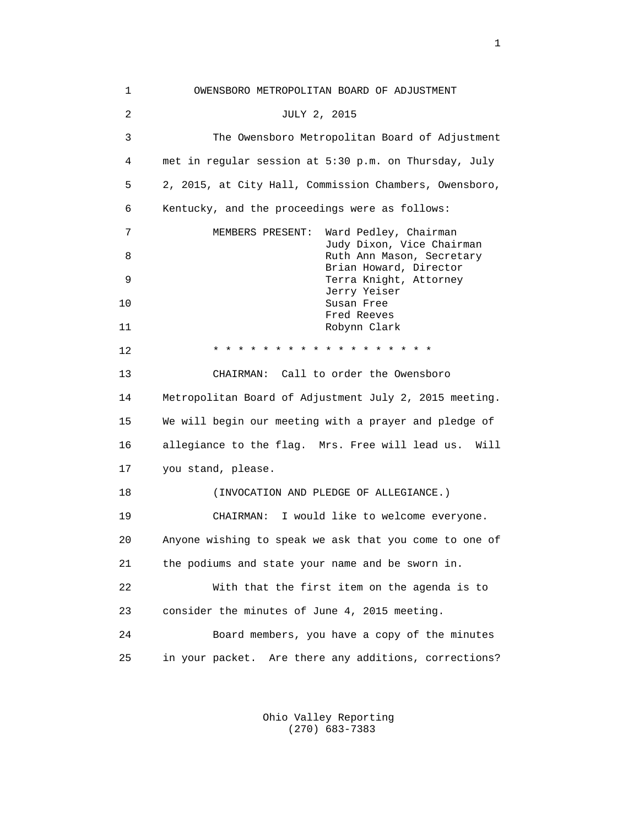1 OWENSBORO METROPOLITAN BOARD OF ADJUSTMENT 2 JULY 2, 2015 3 The Owensboro Metropolitan Board of Adjustment 4 met in regular session at 5:30 p.m. on Thursday, July 5 2, 2015, at City Hall, Commission Chambers, Owensboro, 6 Kentucky, and the proceedings were as follows: 7 MEMBERS PRESENT: Ward Pedley, Chairman Judy Dixon, Vice Chairman 8 Ruth Ann Mason, Secretary Brian Howard, Director 9 Terra Knight, Attorney Jerry Yeiser 10 Susan Free Fred Reeves 11 Robynn Clark 12 \* \* \* \* \* \* \* \* \* \* \* \* \* \* \* \* \* \* 13 CHAIRMAN: Call to order the Owensboro 14 Metropolitan Board of Adjustment July 2, 2015 meeting. 15 We will begin our meeting with a prayer and pledge of 16 allegiance to the flag. Mrs. Free will lead us. Will 17 you stand, please. 18 (INVOCATION AND PLEDGE OF ALLEGIANCE.) 19 CHAIRMAN: I would like to welcome everyone. 20 Anyone wishing to speak we ask that you come to one of 21 the podiums and state your name and be sworn in. 22 With that the first item on the agenda is to 23 consider the minutes of June 4, 2015 meeting. 24 Board members, you have a copy of the minutes 25 in your packet. Are there any additions, corrections?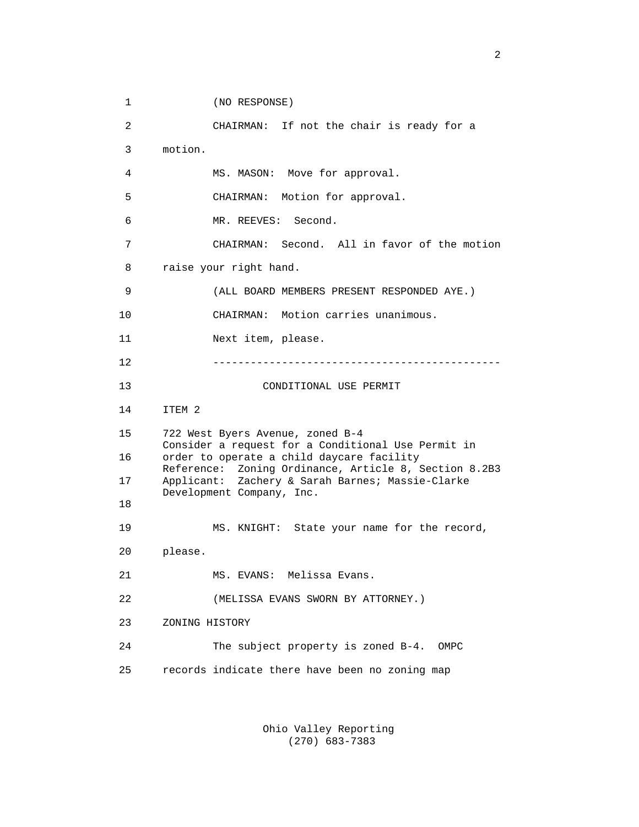1 (NO RESPONSE)

 2 CHAIRMAN: If not the chair is ready for a 3 motion. 4 MS. MASON: Move for approval. 5 CHAIRMAN: Motion for approval. 6 MR. REEVES: Second. 7 CHAIRMAN: Second. All in favor of the motion 8 raise your right hand. 9 (ALL BOARD MEMBERS PRESENT RESPONDED AYE.) 10 CHAIRMAN: Motion carries unanimous. 11 Next item, please. 12 ---------------------------------------------- 13 CONDITIONAL USE PERMIT 14 ITEM 2 15 722 West Byers Avenue, zoned B-4 Consider a request for a Conditional Use Permit in 16 order to operate a child daycare facility Reference: Zoning Ordinance, Article 8, Section 8.2B3 17 Applicant: Zachery & Sarah Barnes; Massie-Clarke Development Company, Inc. 18 19 MS. KNIGHT: State your name for the record, 20 please. 21 MS. EVANS: Melissa Evans. 22 (MELISSA EVANS SWORN BY ATTORNEY.) 23 ZONING HISTORY 24 The subject property is zoned B-4. OMPC 25 records indicate there have been no zoning map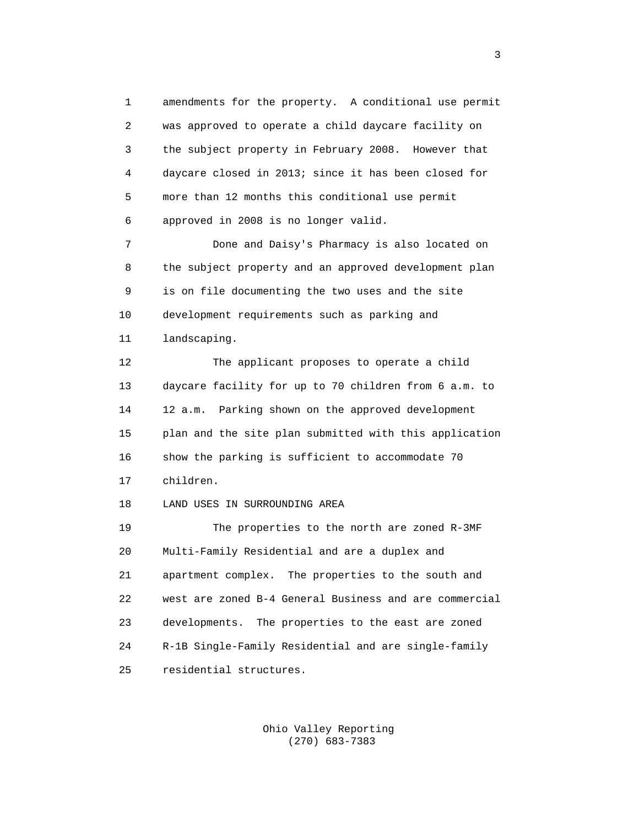1 amendments for the property. A conditional use permit 2 was approved to operate a child daycare facility on 3 the subject property in February 2008. However that 4 daycare closed in 2013; since it has been closed for 5 more than 12 months this conditional use permit 6 approved in 2008 is no longer valid.

 7 Done and Daisy's Pharmacy is also located on 8 the subject property and an approved development plan 9 is on file documenting the two uses and the site 10 development requirements such as parking and 11 landscaping.

 12 The applicant proposes to operate a child 13 daycare facility for up to 70 children from 6 a.m. to 14 12 a.m. Parking shown on the approved development 15 plan and the site plan submitted with this application 16 show the parking is sufficient to accommodate 70 17 children.

18 LAND USES IN SURROUNDING AREA

 19 The properties to the north are zoned R-3MF 20 Multi-Family Residential and are a duplex and 21 apartment complex. The properties to the south and 22 west are zoned B-4 General Business and are commercial 23 developments. The properties to the east are zoned 24 R-1B Single-Family Residential and are single-family 25 residential structures.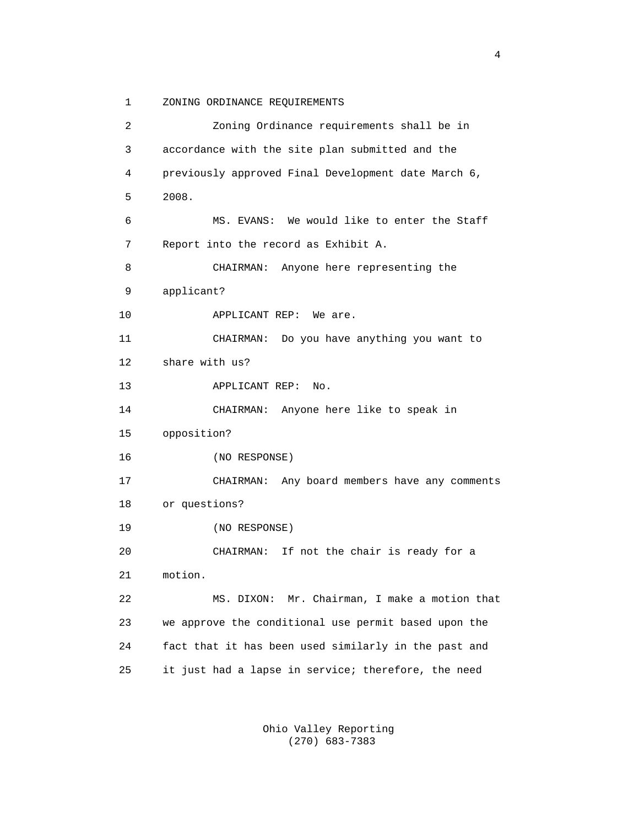1 ZONING ORDINANCE REQUIREMENTS

 2 Zoning Ordinance requirements shall be in 3 accordance with the site plan submitted and the 4 previously approved Final Development date March 6, 5 2008. 6 MS. EVANS: We would like to enter the Staff 7 Report into the record as Exhibit A. 8 CHAIRMAN: Anyone here representing the 9 applicant? 10 APPLICANT REP: We are. 11 CHAIRMAN: Do you have anything you want to 12 share with us? 13 APPLICANT REP: No. 14 CHAIRMAN: Anyone here like to speak in 15 opposition? 16 (NO RESPONSE) 17 CHAIRMAN: Any board members have any comments 18 or questions? 19 (NO RESPONSE) 20 CHAIRMAN: If not the chair is ready for a 21 motion. 22 MS. DIXON: Mr. Chairman, I make a motion that 23 we approve the conditional use permit based upon the 24 fact that it has been used similarly in the past and 25 it just had a lapse in service; therefore, the need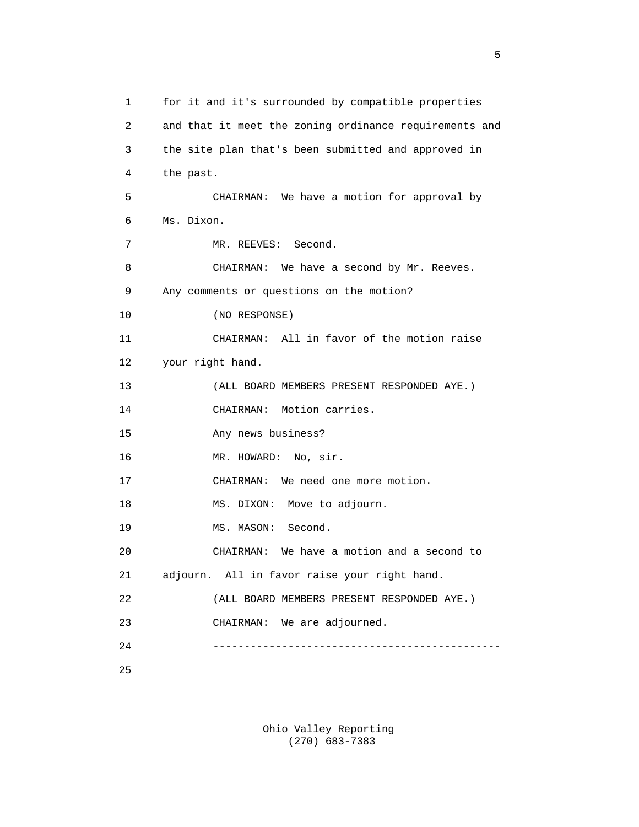1 for it and it's surrounded by compatible properties 2 and that it meet the zoning ordinance requirements and 3 the site plan that's been submitted and approved in 4 the past. 5 CHAIRMAN: We have a motion for approval by 6 Ms. Dixon. 7 MR. REEVES: Second. 8 CHAIRMAN: We have a second by Mr. Reeves. 9 Any comments or questions on the motion? 10 (NO RESPONSE) 11 CHAIRMAN: All in favor of the motion raise 12 your right hand. 13 (ALL BOARD MEMBERS PRESENT RESPONDED AYE.) 14 CHAIRMAN: Motion carries. 15 Any news business? 16 MR. HOWARD: No, sir. 17 CHAIRMAN: We need one more motion. 18 MS. DIXON: Move to adjourn. 19 MS. MASON: Second. 20 CHAIRMAN: We have a motion and a second to 21 adjourn. All in favor raise your right hand. 22 (ALL BOARD MEMBERS PRESENT RESPONDED AYE.) 23 CHAIRMAN: We are adjourned. 24 ----------------------------------------------

25